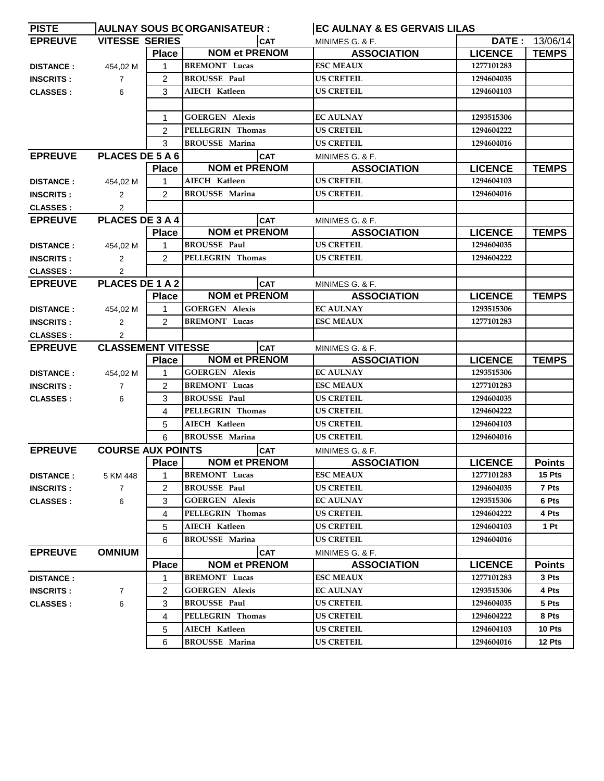| <b>PISTE</b>     | <b>EC AULNAY &amp; ES GERVAIS LILAS</b><br><b>AULNAY SOUS BCORGANISATEUR :</b> |                |                       |                    |                |                |
|------------------|--------------------------------------------------------------------------------|----------------|-----------------------|--------------------|----------------|----------------|
| <b>EPREUVE</b>   | <b>VITESSE SERIES</b>                                                          |                | <b>CAT</b>            | MINIMES G. & F.    |                | DATE: 13/06/14 |
|                  |                                                                                | <b>Place</b>   | <b>NOM et PRENOM</b>  | <b>ASSOCIATION</b> | <b>LICENCE</b> | <b>TEMPS</b>   |
| <b>DISTANCE:</b> | 454,02 M                                                                       | 1              | <b>BREMONT</b> Lucas  | <b>ESC MEAUX</b>   | 1277101283     |                |
| <b>INSCRITS:</b> | $\overline{7}$                                                                 | $\overline{2}$ | <b>BROUSSE Paul</b>   | <b>US CRETEIL</b>  | 1294604035     |                |
| <b>CLASSES:</b>  | 6                                                                              | 3              | <b>AIECH Katleen</b>  | <b>US CRETEIL</b>  | 1294604103     |                |
|                  |                                                                                |                |                       |                    |                |                |
|                  |                                                                                | 1              | <b>GOERGEN Alexis</b> | <b>EC AULNAY</b>   | 1293515306     |                |
|                  |                                                                                | $\overline{2}$ | PELLEGRIN Thomas      | <b>US CRETEIL</b>  | 1294604222     |                |
|                  |                                                                                | 3              | <b>BROUSSE Marina</b> | <b>US CRETEIL</b>  | 1294604016     |                |
| <b>EPREUVE</b>   | PLACES DE 5 A 6                                                                |                | <b>CAT</b>            | MINIMES G. & F.    |                |                |
|                  |                                                                                | <b>Place</b>   | <b>NOM et PRENOM</b>  | <b>ASSOCIATION</b> | <b>LICENCE</b> | <b>TEMPS</b>   |
| <b>DISTANCE:</b> | 454,02 M                                                                       | 1              | AIECH Katleen         | <b>US CRETEIL</b>  | 1294604103     |                |
| <b>INSCRITS:</b> | $\overline{2}$                                                                 | $\overline{2}$ | <b>BROUSSE Marina</b> | <b>US CRETEIL</b>  | 1294604016     |                |
| <b>CLASSES:</b>  | $\overline{2}$                                                                 |                |                       |                    |                |                |
| <b>EPREUVE</b>   | PLACES DE 3 A 4                                                                |                | <b>CAT</b>            | MINIMES G. & F.    |                |                |
|                  |                                                                                | <b>Place</b>   | <b>NOM et PRENOM</b>  | <b>ASSOCIATION</b> | <b>LICENCE</b> | <b>TEMPS</b>   |
| <b>DISTANCE:</b> | 454,02 M                                                                       | 1              | <b>BROUSSE Paul</b>   | <b>US CRETEIL</b>  | 1294604035     |                |
| <b>INSCRITS:</b> | $\overline{2}$                                                                 | $\overline{2}$ | PELLEGRIN Thomas      | <b>US CRETEIL</b>  | 1294604222     |                |
| <b>CLASSES:</b>  | $\overline{2}$                                                                 |                |                       |                    |                |                |
| <b>EPREUVE</b>   | PLACES DE 1 A 2                                                                |                | <b>CAT</b>            | MINIMES G. & F.    |                |                |
|                  |                                                                                | <b>Place</b>   | <b>NOM et PRENOM</b>  | <b>ASSOCIATION</b> | <b>LICENCE</b> | <b>TEMPS</b>   |
| <b>DISTANCE:</b> | 454,02 M                                                                       | 1              | <b>GOERGEN Alexis</b> | <b>EC AULNAY</b>   | 1293515306     |                |
| <b>INSCRITS:</b> | $\overline{2}$                                                                 | 2              | <b>BREMONT Lucas</b>  | <b>ESC MEAUX</b>   | 1277101283     |                |
| <b>CLASSES:</b>  | $\overline{2}$                                                                 |                |                       |                    |                |                |
| <b>EPREUVE</b>   | <b>CLASSEMENT VITESSE</b>                                                      |                | <b>CAT</b>            | MINIMES G. & F.    |                |                |
|                  |                                                                                | <b>Place</b>   | <b>NOM et PRENOM</b>  | <b>ASSOCIATION</b> | <b>LICENCE</b> | <b>TEMPS</b>   |
| <b>DISTANCE:</b> | 454,02 M                                                                       | 1              | <b>GOERGEN Alexis</b> | <b>EC AULNAY</b>   | 1293515306     |                |
| <b>INSCRITS:</b> | $\overline{7}$                                                                 | 2              | <b>BREMONT Lucas</b>  | <b>ESC MEAUX</b>   | 1277101283     |                |
| <b>CLASSES:</b>  | 6                                                                              | 3              | <b>BROUSSE Paul</b>   | <b>US CRETEIL</b>  | 1294604035     |                |
|                  |                                                                                | 4              | PELLEGRIN Thomas      | <b>US CRETEIL</b>  | 1294604222     |                |
|                  |                                                                                | 5              | <b>AIECH Katleen</b>  | <b>US CRETEIL</b>  | 1294604103     |                |
|                  |                                                                                | 6              | <b>BROUSSE Marina</b> | <b>US CRETEIL</b>  | 1294604016     |                |
| <b>EPREUVE</b>   | <b>COURSE AUX POINTS</b>                                                       |                | <b>CAT</b>            | MINIMES G. & F.    |                |                |
|                  |                                                                                | <b>Place</b>   | <b>NOM et PRENOM</b>  | <b>ASSOCIATION</b> | <b>LICENCE</b> | <b>Points</b>  |
| <b>DISTANCE:</b> | 5 KM 448                                                                       | 1              | <b>BREMONT</b> Lucas  | <b>ESC MEAUX</b>   | 1277101283     | 15 Pts         |
| <b>INSCRITS:</b> | $\overline{7}$                                                                 | 2              | <b>BROUSSE Paul</b>   | <b>US CRETEIL</b>  | 1294604035     | 7 Pts          |
| <b>CLASSES:</b>  | 6                                                                              | 3              | <b>GOERGEN Alexis</b> | <b>EC AULNAY</b>   | 1293515306     | 6 Pts          |
|                  |                                                                                | 4              | PELLEGRIN Thomas      | <b>US CRETEIL</b>  | 1294604222     | 4 Pts          |
|                  |                                                                                | 5              | AIECH Katleen         | <b>US CRETEIL</b>  | 1294604103     | 1 Pt           |
|                  |                                                                                | 6              | <b>BROUSSE Marina</b> | <b>US CRETEIL</b>  | 1294604016     |                |
| <b>EPREUVE</b>   | <b>OMNIUM</b>                                                                  |                | <b>CAT</b>            | MINIMES G. & F.    |                |                |
|                  |                                                                                | <b>Place</b>   | <b>NOM et PRENOM</b>  | <b>ASSOCIATION</b> | <b>LICENCE</b> | <b>Points</b>  |
| <b>DISTANCE:</b> |                                                                                | 1              | <b>BREMONT</b> Lucas  | <b>ESC MEAUX</b>   | 1277101283     | 3 Pts          |
| <b>INSCRITS:</b> | 7                                                                              | 2              | <b>GOERGEN Alexis</b> | <b>EC AULNAY</b>   | 1293515306     | 4 Pts          |
| <b>CLASSES:</b>  | 6                                                                              | 3              | <b>BROUSSE Paul</b>   | <b>US CRETEIL</b>  | 1294604035     | 5 Pts          |
|                  |                                                                                | 4              | PELLEGRIN Thomas      | <b>US CRETEIL</b>  | 1294604222     | 8 Pts          |
|                  |                                                                                | 5              | AIECH Katleen         | US CRETEIL         | 1294604103     | 10 Pts         |
|                  |                                                                                | 6              | <b>BROUSSE Marina</b> | <b>US CRETEIL</b>  | 1294604016     | 12 Pts         |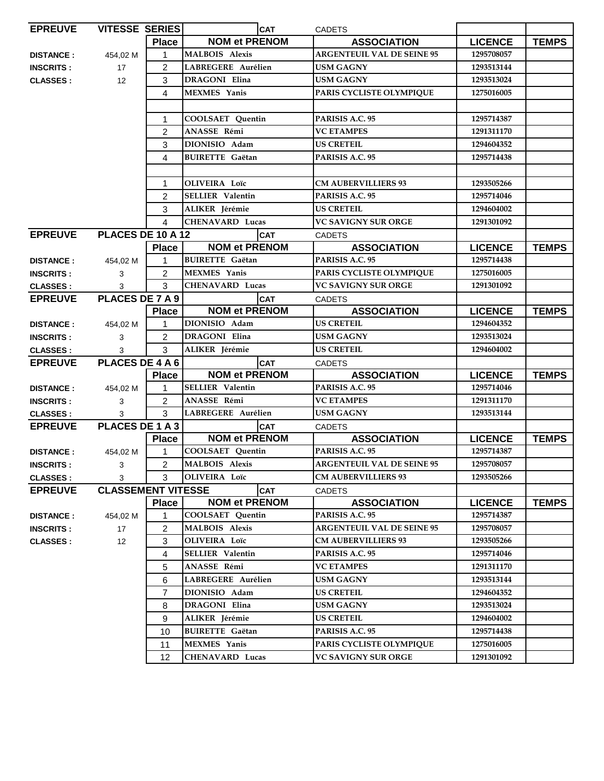| <b>EPREUVE</b>   | <b>VITESSE SERIES</b>     |                | <b>CAT</b>              | <b>CADETS</b>                     |                |              |
|------------------|---------------------------|----------------|-------------------------|-----------------------------------|----------------|--------------|
|                  |                           | <b>Place</b>   | <b>NOM et PRENOM</b>    | <b>ASSOCIATION</b>                | <b>LICENCE</b> | <b>TEMPS</b> |
| <b>DISTANCE:</b> | 454,02 M                  | 1              | <b>MALBOIS Alexis</b>   | <b>ARGENTEUIL VAL DE SEINE 95</b> | 1295708057     |              |
| <b>INSCRITS:</b> | 17                        | 2              | LABREGERE Aurélien      | <b>USM GAGNY</b>                  | 1293513144     |              |
| <b>CLASSES:</b>  | 12                        | 3              | <b>DRAGONI Elina</b>    | USM GAGNY                         | 1293513024     |              |
|                  |                           | 4              | <b>MEXMES</b> Yanis     | PARIS CYCLISTE OLYMPIQUE          | 1275016005     |              |
|                  |                           |                |                         |                                   |                |              |
|                  |                           | 1              | COOLSAET Quentin        | PARISIS A.C. 95                   | 1295714387     |              |
|                  |                           | 2              | ANASSE Rémi             | <b>VC ETAMPES</b>                 | 1291311170     |              |
|                  |                           | 3              | DIONISIO Adam           | <b>US CRETEIL</b>                 | 1294604352     |              |
|                  |                           | 4              | <b>BUIRETTE</b> Gaëtan  | PARISIS A.C. 95                   | 1295714438     |              |
|                  |                           |                |                         |                                   |                |              |
|                  |                           | 1              | OLIVEIRA Loïc           | <b>CM AUBERVILLIERS 93</b>        | 1293505266     |              |
|                  |                           | 2              | <b>SELLIER Valentin</b> | PARISIS A.C. 95                   | 1295714046     |              |
|                  |                           | 3              | ALIKER Jérémie          | US CRETEIL                        | 1294604002     |              |
|                  |                           | 4              | CHENAVARD Lucas         | VC SAVIGNY SUR ORGE               | 1291301092     |              |
| <b>EPREUVE</b>   | PLACES DE 10 A 12         |                | <b>CAT</b>              | CADETS                            |                |              |
|                  |                           | <b>Place</b>   | <b>NOM et PRENOM</b>    | <b>ASSOCIATION</b>                | <b>LICENCE</b> | <b>TEMPS</b> |
| <b>DISTANCE:</b> | 454,02 M                  | 1              | <b>BUIRETTE</b> Gaëtan  | PARISIS A.C. 95                   | 1295714438     |              |
| <b>INSCRITS:</b> | 3                         | 2              | <b>MEXMES</b> Yanis     | PARIS CYCLISTE OLYMPIQUE          | 1275016005     |              |
| <b>CLASSES:</b>  | 3                         | 3              | <b>CHENAVARD Lucas</b>  | <b>VC SAVIGNY SUR ORGE</b>        | 1291301092     |              |
| <b>EPREUVE</b>   | PLACES DE 7 A 9           |                | <b>CAT</b>              | <b>CADETS</b>                     |                |              |
|                  |                           | <b>Place</b>   | <b>NOM et PRENOM</b>    | <b>ASSOCIATION</b>                | <b>LICENCE</b> | <b>TEMPS</b> |
| <b>DISTANCE:</b> | 454,02 M                  | 1              | DIONISIO Adam           | <b>US CRETEIL</b>                 | 1294604352     |              |
| <b>INSCRITS:</b> | 3                         | $\overline{c}$ | <b>DRAGONI</b> Elina    | <b>USM GAGNY</b>                  | 1293513024     |              |
| <b>CLASSES:</b>  | 3                         | 3              | ALIKER Jérémie          | <b>US CRETEIL</b>                 | 1294604002     |              |
| <b>EPREUVE</b>   | PLACES DE 4 A 6           |                | <b>CAT</b>              | <b>CADETS</b>                     |                |              |
|                  |                           | <b>Place</b>   | <b>NOM et PRENOM</b>    | <b>ASSOCIATION</b>                | <b>LICENCE</b> | <b>TEMPS</b> |
| <b>DISTANCE:</b> | 454,02 M                  | 1              | <b>SELLIER Valentin</b> | PARISIS A.C. 95                   | 1295714046     |              |
| <b>INSCRITS:</b> | 3                         | $\overline{2}$ | ANASSE Rémi             | <b>VC ETAMPES</b>                 | 1291311170     |              |
| <b>CLASSES:</b>  | 3                         | 3              | LABREGERE Aurélien      | <b>USM GAGNY</b>                  | 1293513144     |              |
| <b>EPREUVE</b>   | PLACES DE 1 A 3           |                | <b>CAT</b>              | <b>CADETS</b>                     |                |              |
|                  |                           | <b>Place</b>   | <b>NOM et PRENOM</b>    | <b>ASSOCIATION</b>                | <b>LICENCE</b> | <b>TEMPS</b> |
| <b>DISTANCE:</b> | 454,02 M                  | 1              | COOLSAET Quentin        | PARISIS A.C. 95                   | 1295714387     |              |
| <b>INSCRITS:</b> | 3                         | $\overline{c}$ | <b>MALBOIS Alexis</b>   | <b>ARGENTEUIL VAL DE SEINE 95</b> | 1295708057     |              |
| <b>CLASSES:</b>  | 3                         | 3              | OLIVEIRA Loïc           | <b>CM AUBERVILLIERS 93</b>        | 1293505266     |              |
| <b>EPREUVE</b>   | <b>CLASSEMENT VITESSE</b> |                | <b>CAT</b>              | <b>CADETS</b>                     |                |              |
|                  |                           | <b>Place</b>   | <b>NOM et PRENOM</b>    | <b>ASSOCIATION</b>                | <b>LICENCE</b> | <b>TEMPS</b> |
| <b>DISTANCE:</b> | 454,02 M                  | 1              | <b>COOLSAET</b> Quentin | PARISIS A.C. 95                   | 1295714387     |              |
| <b>INSCRITS:</b> | 17                        | 2              | <b>MALBOIS</b> Alexis   | <b>ARGENTEUIL VAL DE SEINE 95</b> | 1295708057     |              |
| <b>CLASSES:</b>  | 12                        | 3              | OLIVEIRA Loïc           | <b>CM AUBERVILLIERS 93</b>        | 1293505266     |              |
|                  |                           | 4              | <b>SELLIER Valentin</b> | PARISIS A.C. 95                   | 1295714046     |              |
|                  |                           | 5              | ANASSE Rémi             | <b>VC ETAMPES</b>                 | 1291311170     |              |
|                  |                           | 6              | LABREGERE Aurélien      | USM GAGNY                         | 1293513144     |              |
|                  |                           | 7              | DIONISIO Adam           | <b>US CRETEIL</b>                 | 1294604352     |              |
|                  |                           | 8              | DRAGONI Elina           | <b>USM GAGNY</b>                  | 1293513024     |              |
|                  |                           | 9              | ALIKER Jérémie          | <b>US CRETEIL</b>                 | 1294604002     |              |
|                  |                           | 10             | <b>BUIRETTE Gaëtan</b>  | PARISIS A.C. 95                   | 1295714438     |              |
|                  |                           | 11             | <b>MEXMES</b> Yanis     | PARIS CYCLISTE OLYMPIQUE          | 1275016005     |              |
|                  |                           | 12             | CHENAVARD Lucas         | VC SAVIGNY SUR ORGE               | 1291301092     |              |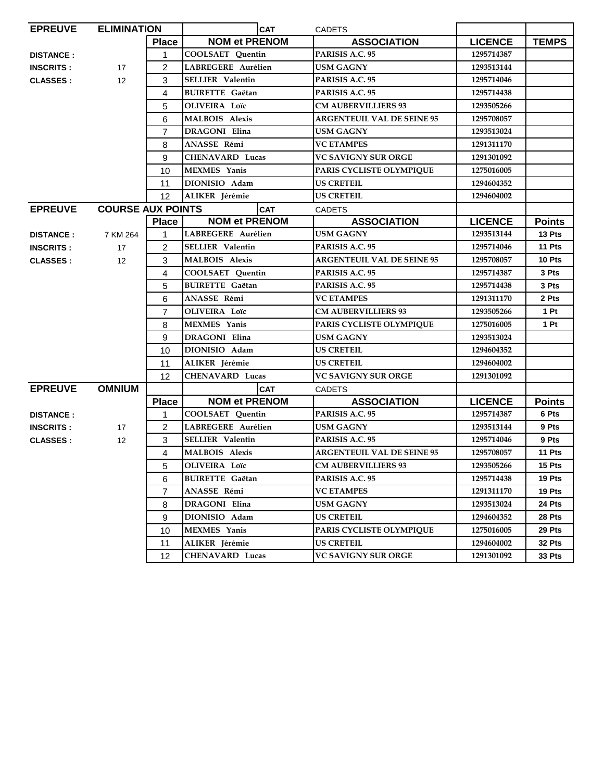| <b>EPREUVE</b>   | <b>ELIMINATION</b>       |                | <b>CAT</b>              | <b>CADETS</b>                     |                |               |
|------------------|--------------------------|----------------|-------------------------|-----------------------------------|----------------|---------------|
|                  |                          | <b>Place</b>   | <b>NOM et PRENOM</b>    | <b>ASSOCIATION</b>                | <b>LICENCE</b> | <b>TEMPS</b>  |
| <b>DISTANCE:</b> |                          | 1              | <b>COOLSAET Quentin</b> | PARISIS A.C. 95                   | 1295714387     |               |
| <b>INSCRITS:</b> | 17                       | $\overline{2}$ | LABREGERE Aurélien      | <b>USM GAGNY</b>                  | 1293513144     |               |
| <b>CLASSES:</b>  | 12                       | 3              | <b>SELLIER</b> Valentin | PARISIS A.C. 95                   | 1295714046     |               |
|                  |                          | 4              | <b>BUIRETTE</b> Gaëtan  | PARISIS A.C. 95                   | 1295714438     |               |
|                  |                          | 5              | <b>OLIVEIRA</b> Loïc    | <b>CM AUBERVILLIERS 93</b>        | 1293505266     |               |
|                  |                          | 6              | <b>MALBOIS Alexis</b>   | <b>ARGENTEUIL VAL DE SEINE 95</b> | 1295708057     |               |
|                  |                          | 7              | DRAGONI Elina           | USM GAGNY                         | 1293513024     |               |
|                  |                          | 8              | ANASSE Rémi             | <b>VC ETAMPES</b>                 | 1291311170     |               |
|                  |                          | 9              | <b>CHENAVARD Lucas</b>  | <b>VC SAVIGNY SUR ORGE</b>        | 1291301092     |               |
|                  |                          | 10             | <b>MEXMES</b> Yanis     | PARIS CYCLISTE OLYMPIQUE          | 1275016005     |               |
|                  |                          | 11             | DIONISIO Adam           | <b>US CRETEIL</b>                 | 1294604352     |               |
|                  |                          | 12             | ALIKER Jérémie          | <b>US CRETEIL</b>                 | 1294604002     |               |
| <b>EPREUVE</b>   | <b>COURSE AUX POINTS</b> |                | <b>CAT</b>              | <b>CADETS</b>                     |                |               |
|                  |                          | <b>Place</b>   | <b>NOM et PRENOM</b>    | <b>ASSOCIATION</b>                | <b>LICENCE</b> | <b>Points</b> |
| <b>DISTANCE:</b> | 7 KM 264                 | 1              | LABREGERE Aurélien      | <b>USM GAGNY</b>                  | 1293513144     | 13 Pts        |
| <b>INSCRITS:</b> | 17                       | $\overline{2}$ | <b>SELLIER</b> Valentin | PARISIS A.C. 95                   | 1295714046     | 11 Pts        |
| <b>CLASSES:</b>  | 12                       | 3              | <b>MALBOIS Alexis</b>   | <b>ARGENTEUIL VAL DE SEINE 95</b> | 1295708057     | 10 Pts        |
|                  |                          | 4              | <b>COOLSAET</b> Ouentin | PARISIS A.C. 95                   | 1295714387     | 3 Pts         |
|                  |                          | 5              | <b>BUIRETTE</b> Gaëtan  | PARISIS A.C. 95                   | 1295714438     | 3 Pts         |
|                  |                          | 6              | ANASSE Rémi             | <b>VC ETAMPES</b>                 | 1291311170     | 2 Pts         |
|                  |                          | $\overline{7}$ | <b>OLIVEIRA</b> Loïc    | <b>CM AUBERVILLIERS 93</b>        | 1293505266     | 1 Pt          |
|                  |                          | 8              | <b>MEXMES</b> Yanis     | PARIS CYCLISTE OLYMPIQUE          | 1275016005     | 1 Pt          |
|                  |                          | 9              | DRAGONI Elina           | <b>USM GAGNY</b>                  | 1293513024     |               |
|                  |                          | 10             | DIONISIO Adam           | US CRETEIL                        | 1294604352     |               |
|                  |                          | 11             | ALIKER Jérémie          | <b>US CRETEIL</b>                 | 1294604002     |               |
|                  |                          | 12             | <b>CHENAVARD Lucas</b>  | <b>VC SAVIGNY SUR ORGE</b>        | 1291301092     |               |
| <b>EPREUVE</b>   | <b>OMNIUM</b>            |                | <b>CAT</b>              | <b>CADETS</b>                     |                |               |
|                  |                          | <b>Place</b>   | <b>NOM et PRENOM</b>    | <b>ASSOCIATION</b>                | <b>LICENCE</b> | <b>Points</b> |
| <b>DISTANCE:</b> |                          | 1              | <b>COOLSAET Quentin</b> | PARISIS A.C. 95                   | 1295714387     | 6 Pts         |
| <b>INSCRITS:</b> | 17                       | 2              | LABREGERE Aurélien      | <b>USM GAGNY</b>                  | 1293513144     | 9 Pts         |
| <b>CLASSES:</b>  | 12                       | 3              | <b>SELLIER</b> Valentin | PARISIS A.C. 95                   | 1295714046     | 9 Pts         |
|                  |                          | 4              | <b>MALBOIS</b> Alexis   | <b>ARGENTEUIL VAL DE SEINE 95</b> | 1295708057     | 11 Pts        |
|                  |                          | 5              | OLIVEIRA Loïc           | <b>CM AUBERVILLIERS 93</b>        | 1293505266     | 15 Pts        |
|                  |                          | 6              | <b>BUIRETTE</b> Gaëtan  | PARISIS A.C. 95                   | 1295714438     | 19 Pts        |
|                  |                          | 7              | ANASSE Rémi             | <b>VC ETAMPES</b>                 | 1291311170     | 19 Pts        |
|                  |                          | 8              | DRAGONI Elina           | USM GAGNY                         | 1293513024     | 24 Pts        |
|                  |                          | 9              | DIONISIO Adam           | <b>US CRETEIL</b>                 | 1294604352     | 28 Pts        |
|                  |                          | 10             | <b>MEXMES</b> Yanis     | PARIS CYCLISTE OLYMPIQUE          | 1275016005     | 29 Pts        |
|                  |                          | 11             | ALIKER Jérémie          | <b>US CRETEIL</b>                 | 1294604002     | 32 Pts        |
|                  |                          | 12             | CHENAVARD Lucas         | <b>VC SAVIGNY SUR ORGE</b>        | 1291301092     | 33 Pts        |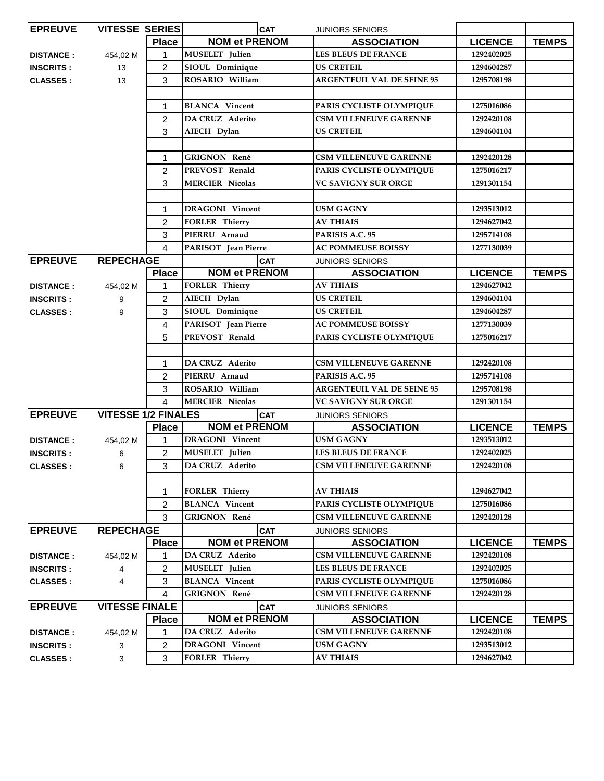| <b>EPREUVE</b>   | <b>VITESSE SERIES</b>      |                        | <b>CAT</b>             | <b>JUNIORS SENIORS</b>            |                |              |
|------------------|----------------------------|------------------------|------------------------|-----------------------------------|----------------|--------------|
|                  |                            | <b>Place</b>           | <b>NOM et PRENOM</b>   | <b>ASSOCIATION</b>                | <b>LICENCE</b> | <b>TEMPS</b> |
| <b>DISTANCE:</b> | 454,02 M                   | 1                      | MUSELET Julien         | <b>LES BLEUS DE FRANCE</b>        | 1292402025     |              |
| <b>INSCRITS:</b> | 13                         | $\overline{2}$         | SIOUL Dominique        | <b>US CRETEIL</b>                 | 1294604287     |              |
| <b>CLASSES:</b>  | 13                         | 3                      | ROSARIO William        | <b>ARGENTEUIL VAL DE SEINE 95</b> | 1295708198     |              |
|                  |                            |                        |                        |                                   |                |              |
|                  |                            | 1                      | <b>BLANCA</b> Vincent  | PARIS CYCLISTE OLYMPIQUE          | 1275016086     |              |
|                  |                            | $\overline{2}$         | DA CRUZ Aderito        | <b>CSM VILLENEUVE GARENNE</b>     | 1292420108     |              |
|                  |                            | 3                      | AIECH Dylan            | <b>US CRETEIL</b>                 | 1294604104     |              |
|                  |                            |                        |                        |                                   |                |              |
|                  |                            | $\mathbf{1}$           | <b>GRIGNON René</b>    | <b>CSM VILLENEUVE GARENNE</b>     | 1292420128     |              |
|                  |                            | 2                      | PREVOST Renald         | PARIS CYCLISTE OLYMPIQUE          | 1275016217     |              |
|                  |                            | 3                      | <b>MERCIER Nicolas</b> | <b>VC SAVIGNY SUR ORGE</b>        | 1291301154     |              |
|                  |                            |                        |                        |                                   |                |              |
|                  |                            | 1                      | <b>DRAGONI</b> Vincent | <b>USM GAGNY</b>                  | 1293513012     |              |
|                  |                            | $\overline{2}$         | <b>FORLER Thierry</b>  | <b>AV THIAIS</b>                  | 1294627042     |              |
|                  |                            | 3                      | PIERRU Arnaud          | PARISIS A.C. 95                   | 1295714108     |              |
|                  |                            | $\overline{4}$         | PARISOT Jean Pierre    | <b>AC POMMEUSE BOISSY</b>         | 1277130039     |              |
| <b>EPREUVE</b>   | <b>REPECHAGE</b>           |                        | <b>CAT</b>             | <b>JUNIORS SENIORS</b>            |                |              |
|                  |                            | <b>Place</b>           | <b>NOM et PRENOM</b>   | <b>ASSOCIATION</b>                | <b>LICENCE</b> | <b>TEMPS</b> |
| <b>DISTANCE:</b> | 454,02 M                   | 1                      | <b>FORLER Thierry</b>  | <b>AV THIAIS</b>                  | 1294627042     |              |
| <b>INSCRITS:</b> | 9                          | $\overline{c}$         | AIECH Dylan            | <b>US CRETEIL</b>                 | 1294604104     |              |
| <b>CLASSES:</b>  | 9                          | 3                      | SIOUL Dominique        | <b>US CRETEIL</b>                 | 1294604287     |              |
|                  |                            | 4                      | PARISOT Jean Pierre    | <b>AC POMMEUSE BOISSY</b>         | 1277130039     |              |
|                  |                            | 5                      | PREVOST Renald         | PARIS CYCLISTE OLYMPIQUE          | 1275016217     |              |
|                  |                            |                        |                        |                                   |                |              |
|                  |                            | 1                      | <b>DA CRUZ Aderito</b> | <b>CSM VILLENEUVE GARENNE</b>     | 1292420108     |              |
|                  |                            | 2                      | PIERRU Arnaud          | PARISIS A.C. 95                   | 1295714108     |              |
|                  |                            | 3                      | ROSARIO William        | <b>ARGENTEUIL VAL DE SEINE 95</b> | 1295708198     |              |
|                  |                            | $\boldsymbol{\Lambda}$ | <b>MERCIER Nicolas</b> | <b>VC SAVIGNY SUR ORGE</b>        | 1291301154     |              |
| <b>EPREUVE</b>   | <b>VITESSE 1/2 FINALES</b> |                        | <b>CAT</b>             | <b>JUNIORS SENIORS</b>            |                |              |
|                  |                            | <b>Place</b>           | <b>NOM et PRENOM</b>   | <b>ASSOCIATION</b>                | <b>LICENCE</b> | <b>TEMPS</b> |
| <b>DISTANCE:</b> | 454,02 M                   | $\mathbf{1}$           | <b>DRAGONI</b> Vincent | <b>USM GAGNY</b>                  | 1293513012     |              |
| <b>INSCRITS:</b> | 6                          | $\overline{2}$         | <b>MUSELET</b> Julien  | <b>LES BLEUS DE FRANCE</b>        | 1292402025     |              |
| <b>CLASSES:</b>  | 6                          | 3                      | DA CRUZ Aderito        | <b>CSM VILLENEUVE GARENNE</b>     | 1292420108     |              |
|                  |                            |                        |                        |                                   |                |              |
|                  |                            | 1                      | <b>FORLER Thierry</b>  | <b>AV THIAIS</b>                  | 1294627042     |              |
|                  |                            | $\overline{c}$         | <b>BLANCA</b> Vincent  | PARIS CYCLISTE OLYMPIQUE          | 1275016086     |              |
|                  |                            | 3                      | <b>GRIGNON René</b>    | <b>CSM VILLENEUVE GARENNE</b>     | 1292420128     |              |
| <b>EPREUVE</b>   | <b>REPECHAGE</b>           |                        | <b>CAT</b>             | <b>JUNIORS SENIORS</b>            |                |              |
|                  |                            | <b>Place</b>           | <b>NOM et PRENOM</b>   | <b>ASSOCIATION</b>                | <b>LICENCE</b> | <b>TEMPS</b> |
| <b>DISTANCE:</b> | 454,02 M                   | 1                      | <b>DA CRUZ Aderito</b> | <b>CSM VILLENEUVE GARENNE</b>     | 1292420108     |              |
| <b>INSCRITS:</b> | 4                          | 2                      | MUSELET Julien         | LES BLEUS DE FRANCE               | 1292402025     |              |
| <b>CLASSES:</b>  | 4                          | 3                      | <b>BLANCA</b> Vincent  | PARIS CYCLISTE OLYMPIQUE          | 1275016086     |              |
|                  |                            | 4                      | <b>GRIGNON René</b>    | <b>CSM VILLENEUVE GARENNE</b>     | 1292420128     |              |
| <b>EPREUVE</b>   | <b>VITESSE FINALE</b>      |                        | <b>CAT</b>             | JUNIORS SENIORS                   |                |              |
|                  |                            | <b>Place</b>           | <b>NOM et PRENOM</b>   | <b>ASSOCIATION</b>                | <b>LICENCE</b> | <b>TEMPS</b> |
| <b>DISTANCE:</b> | 454,02 M                   | 1                      | DA CRUZ Aderito        | <b>CSM VILLENEUVE GARENNE</b>     | 1292420108     |              |
| <b>INSCRITS:</b> | 3                          | 2                      | <b>DRAGONI</b> Vincent | <b>USM GAGNY</b>                  | 1293513012     |              |
| <b>CLASSES:</b>  | 3                          | 3                      | <b>FORLER Thierry</b>  | <b>AV THIAIS</b>                  | 1294627042     |              |